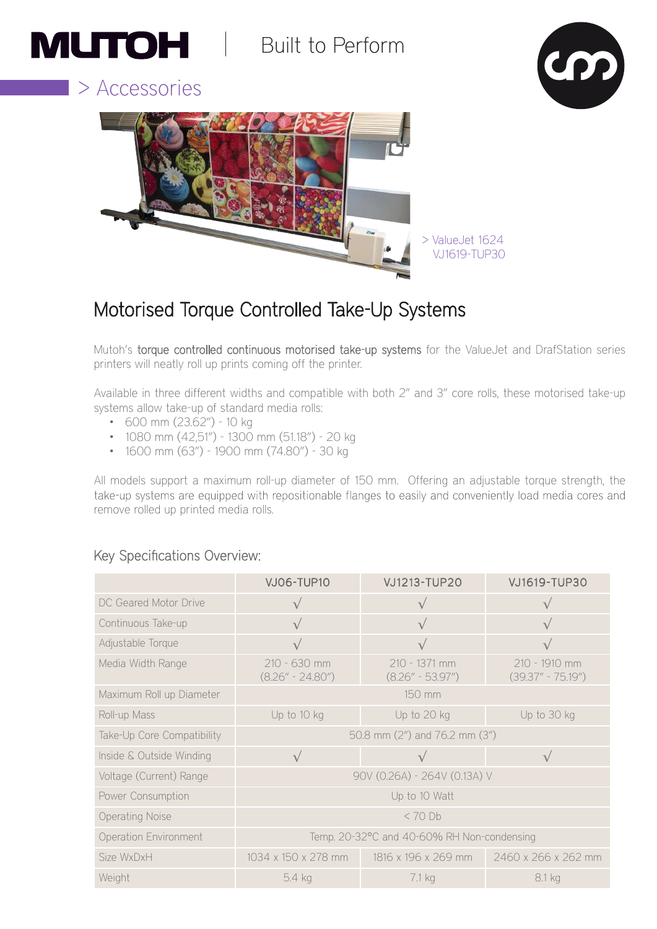# **MUTOH** Built to Perform







# Motorised Torque Controlled Take-Up Systems

Mutoh's torque controlled continuous motorised take-up systems for the ValueJet and DrafStation series printers will neatly roll up prints coming off the printer.

Available in three different widths and compatible with both 2" and 3" core rolls, these motorised take-up systems allow take-up of standard media rolls:

- 600 mm (23.62") 10 kg
- 1080 mm (42,51") 1300 mm (51.18") 20 kg
- 1600 mm (63") 1900 mm (74.80") 30 kg

All models support a maximum roll-up diameter of 150 mm. Offering an adjustable torque strength, the take-up systems are equipped with repositionable flanges to easily and conveniently load media cores and remove rolled up printed media rolls.

### Key Specifications Overview:

|                              | <b>VJ06-TUP10</b>                          | VJ1213-TUP20                          | <b>VJ1619-TUP30</b>                    |  |  |
|------------------------------|--------------------------------------------|---------------------------------------|----------------------------------------|--|--|
| DC Geared Motor Drive        |                                            |                                       |                                        |  |  |
| Continuous Take-up           | $\sqrt{}$                                  | $\sqrt{}$                             |                                        |  |  |
| Adjustable Torque            |                                            |                                       |                                        |  |  |
| Media Width Range            | 210 - 630 mm<br>$(8.26'' - 24.80'')$       | 210 - 1371 mm<br>$(8.26'' - 53.97'')$ | 210 - 1910 mm<br>$(39.37'' - 75.19'')$ |  |  |
| Maximum Roll up Diameter     | 150 mm                                     |                                       |                                        |  |  |
| Roll-up Mass                 | Up to 10 kg                                | Up to 20 kg                           | Up to 30 kg                            |  |  |
| Take-Up Core Compatibility   | 50.8 mm (2") and 76.2 mm (3")              |                                       |                                        |  |  |
| Inside & Outside Winding     |                                            |                                       |                                        |  |  |
| Voltage (Current) Range      | 90V (0.26A) - 264V (0.13A) V               |                                       |                                        |  |  |
| Power Consumption            | Up to 10 Watt                              |                                       |                                        |  |  |
| <b>Operating Noise</b>       | $< 70$ Db                                  |                                       |                                        |  |  |
| <b>Operation Environment</b> | Temp. 20-32°C and 40-60% RH Non-condensing |                                       |                                        |  |  |
| Size WxDxH                   | 1034 x 150 x 278 mm                        | 1816 x 196 x 269 mm                   | 2460 x 266 x 262 mm                    |  |  |
| Weight                       | 5.4 kg                                     | 7.1 kg                                | 8.1 kg                                 |  |  |